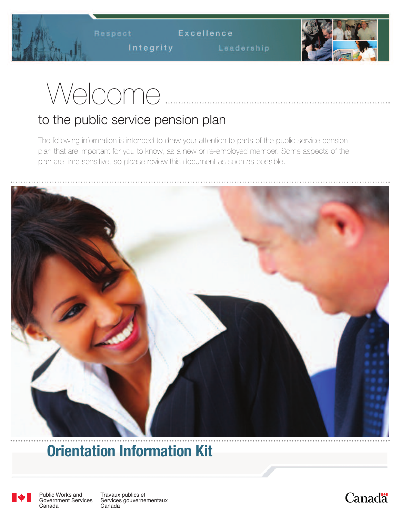Respect Excellence

Integrity Leadership



# Welcome

# to the public service pension plan

The following information is intended to draw your attention to parts of the public service pension plan that are important for you to know, as a new or re-employed member. Some aspects of the plan are time sensitive, so please review this document as soon as possible.



# **Orientation Information Kit**



Public Works and Government Services Canada

Travaux publics et Services gouvernementaux Canada

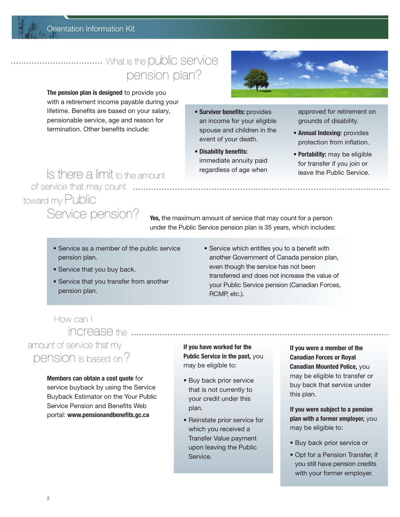#### Orientation Information Kit

# pension plan? ................................... What is the public service

**The pension plan is designed** to provide you with a retirement income payable during your lifetime. Benefits are based on your salary, pensionable service, age and reason for termination. Other benefits include:

- 
- **• Survivor benefits:** provides an income for your eligible spouse and children in the event of your death.
- **• Disability benefits:** immediate annuity paid regardless of age when

approved for retirement on grounds of disability.

- **• Annual Indexing:** provides protection from inflation.
- **• Portability:** may be eligible for transfer if you join or leave the Public Service.

### Is there a limit to the amount toward my Public Service pension? of service that may count .............

**Yes,** the maximum amount of service that may count for a person under the Public Service pension plan is 35 years, which includes:

- Service as a member of the public service pension plan.
- Service that you buy back.
- Service that you transfer from another pension plan.
- Service which entitles you to a benefit with another Government of Canada pension plan, even though the service has not been transferred and does not increase the value of your Public Service pension (Canadian Forces, RCMP, etc.).

#### How can I increase the .........

# amount of service that my pension is based on?

**Members can obtain a cost quote** for service buyback by using the Service Buyback Estimator on the Your Public Service Pension and Benefits Web portal: **www.pensionandbenefits.gc.ca**

**If you have worked for the Public Service in the past,** you may be eligible to:

- Buy back prior service that is not currently to your credit under this plan.
- Reinstate prior service for which you received a Transfer Value payment upon leaving the Public Service.

**If you were a member of the Canadian Forces or Royal Canadian Mounted Police,** you may be eligible to transfer or buy back that service under this plan.

**If you were subject to a pension plan with a former employer,** you may be eligible to:

- Buy back prior service or
- Opt for a Pension Transfer, if you still have pension credits with your former employer.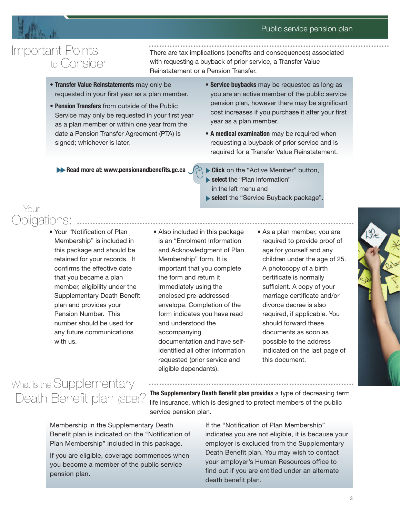#### Public service pension plan



Your

# Important Points to Consider:

There are tax implications (benefits and consequences) associated with requesting a buyback of prior service, a Transfer Value Reinstatement or a Pension Transfer.

- **Transfer Value Reinstatements** may only be requested in your first year as a plan member.
- **Pension Transfers** from outside of the Public Service may only be requested in your first year as a plan member or within one year from the date a Pension Transfer Agreement (PTA) is signed; whichever is later.
- **Service buybacks** may be requested as long as you are an active member of the public service pension plan, however there may be significant cost increases if you purchase it after your first year as a plan member.
- **A medical examination** may be required when requesting a buyback of prior service and is required for a Transfer Value Reinstatement.

**Read more at: www.pensionandbenefits.gc.ca** 

- **Click** on the "Active Member" button, **select** the "Plan Information" in the left menu and
- select the "Service Buyback package".

• Your "Notification of Plan Membership" is included in this package and should be retained for your records. It confirms the effective date that you became a plan member, eligibility under the Supplementary Death Benefit plan and provides your Pension Number. This number should be used for any future communications with us.

Obligations:

#### • Also included in this package is an "Enrolment Information and Acknowledgment of Plan Membership" form. It is important that you complete the form and return it immediately using the enclosed pre-addressed envelope. Completion of the form indicates you have read and understood the accompanying documentation and have selfidentified all other information requested (prior service and eligible dependants).

• As a plan member, you are required to provide proof of age for yourself and any children under the age of 25. A photocopy of a birth certificate is normally sufficient. A copy of your marriage certificate and/or divorce decree is also required, if applicable. You should forward these documents as soon as possible to the address indicated on the last page of this document.



# Death Benefit plan (SDB)? What is the Supplementary

**The Supplementary Death Benefit plan provides** a type of decreasing term life insurance, which is designed to protect members of the public service pension plan.

Membership in the Supplementary Death Benefit plan is indicated on the "Notification of Plan Membership" included in this package.

If you are eligible, coverage commences when you become a member of the public service pension plan.

If the "Notification of Plan Membership" indicates you are not eligible, it is because your employer is excluded from the Supplementary Death Benefit plan. You may wish to contact your employer's Human Resources office to find out if you are entitled under an alternate death benefit plan.